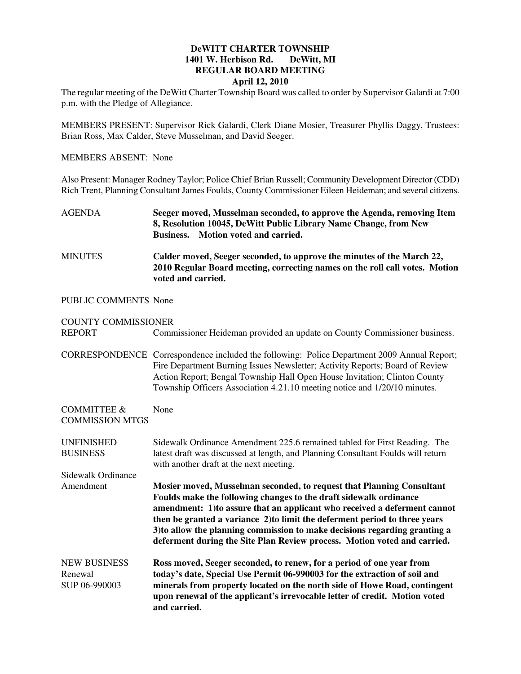## **DeWITT CHARTER TOWNSHIP 1401 W. Herbison Rd. DeWitt, MI REGULAR BOARD MEETING April 12, 2010**

The regular meeting of the DeWitt Charter Township Board was called to order by Supervisor Galardi at 7:00 p.m. with the Pledge of Allegiance.

MEMBERS PRESENT: Supervisor Rick Galardi, Clerk Diane Mosier, Treasurer Phyllis Daggy, Trustees: Brian Ross, Max Calder, Steve Musselman, and David Seeger.

## MEMBERS ABSENT: None

Also Present: Manager Rodney Taylor; Police Chief Brian Russell; Community Development Director (CDD) Rich Trent, Planning Consultant James Foulds, County Commissioner Eileen Heideman; and several citizens.

- AGENDA **Seeger moved, Musselman seconded, to approve the Agenda, removing Item 8, Resolution 10045, DeWitt Public Library Name Change, from New Business. Motion voted and carried.**
- MINUTES **Calder moved, Seeger seconded, to approve the minutes of the March 22, 2010 Regular Board meeting, correcting names on the roll call votes. Motion voted and carried.**

## PUBLIC COMMENTS None

## COUNTY COMMISSIONER

REPORT Commissioner Heideman provided an update on County Commissioner business. CORRESPONDENCE Correspondence included the following: Police Department 2009 Annual Report; Fire Department Burning Issues Newsletter; Activity Reports; Board of Review Action Report; Bengal Township Hall Open House Invitation; Clinton County Township Officers Association 4.21.10 meeting notice and 1/20/10 minutes. COMMITTEE & None COMMISSION MTGS UNFINISHED Sidewalk Ordinance Amendment 225.6 remained tabled for First Reading. The BUSINESS latest draft was discussed at length, and Planning Consultant Foulds will return with another draft at the next meeting. Sidewalk Ordinance Amendment **Mosier moved, Musselman seconded, to request that Planning Consultant Foulds make the following changes to the draft sidewalk ordinance amendment: 1)to assure that an applicant who received a deferment cannot then be granted a variance 2)to limit the deferment period to three years 3)to allow the planning commission to make decisions regarding granting a deferment during the Site Plan Review process. Motion voted and carried.** NEW BUSINESS **Ross moved, Seeger seconded, to renew, for a period of one year from**  Renewal **today's date, Special Use Permit 06-990003 for the extraction of soil and**  SUP 06-990003 **minerals from property located on the north side of Howe Road, contingent upon renewal of the applicant's irrevocable letter of credit. Motion voted and carried.**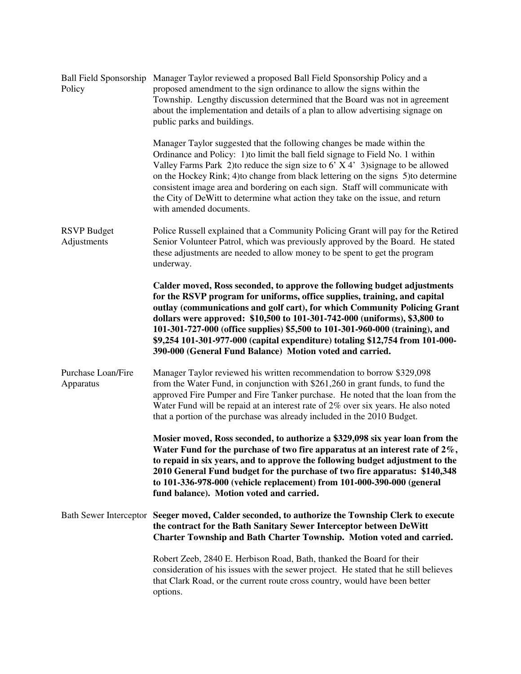| Policy                                 | Ball Field Sponsorship Manager Taylor reviewed a proposed Ball Field Sponsorship Policy and a<br>proposed amendment to the sign ordinance to allow the signs within the<br>Township. Lengthy discussion determined that the Board was not in agreement<br>about the implementation and details of a plan to allow advertising signage on<br>public parks and buildings.                                                                                                                                                                      |
|----------------------------------------|----------------------------------------------------------------------------------------------------------------------------------------------------------------------------------------------------------------------------------------------------------------------------------------------------------------------------------------------------------------------------------------------------------------------------------------------------------------------------------------------------------------------------------------------|
|                                        | Manager Taylor suggested that the following changes be made within the<br>Ordinance and Policy: 1) to limit the ball field signage to Field No. 1 within<br>Valley Farms Park 2) to reduce the sign size to $6'$ X 4' 3) signage to be allowed<br>on the Hockey Rink; 4) to change from black lettering on the signs 5) to determine<br>consistent image area and bordering on each sign. Staff will communicate with<br>the City of DeWitt to determine what action they take on the issue, and return<br>with amended documents.           |
| <b>RSVP</b> Budget<br>Adjustments      | Police Russell explained that a Community Policing Grant will pay for the Retired<br>Senior Volunteer Patrol, which was previously approved by the Board. He stated<br>these adjustments are needed to allow money to be spent to get the program<br>underway.                                                                                                                                                                                                                                                                               |
|                                        | Calder moved, Ross seconded, to approve the following budget adjustments<br>for the RSVP program for uniforms, office supplies, training, and capital<br>outlay (communications and golf cart), for which Community Policing Grant<br>dollars were approved: \$10,500 to 101-301-742-000 (uniforms), \$3,800 to<br>101-301-727-000 (office supplies) \$5,500 to 101-301-960-000 (training), and<br>\$9,254 101-301-977-000 (capital expenditure) totaling \$12,754 from 101-000-<br>390-000 (General Fund Balance) Motion voted and carried. |
| <b>Purchase Loan/Fire</b><br>Apparatus | Manager Taylor reviewed his written recommendation to borrow \$329,098<br>from the Water Fund, in conjunction with \$261,260 in grant funds, to fund the<br>approved Fire Pumper and Fire Tanker purchase. He noted that the loan from the<br>Water Fund will be repaid at an interest rate of 2% over six years. He also noted<br>that a portion of the purchase was already included in the 2010 Budget.                                                                                                                                   |
|                                        | Mosier moved, Ross seconded, to authorize a \$329,098 six year loan from the<br>Water Fund for the purchase of two fire apparatus at an interest rate of $2\%$ ,<br>to repaid in six years, and to approve the following budget adjustment to the<br>2010 General Fund budget for the purchase of two fire apparatus: \$140,348<br>to 101-336-978-000 (vehicle replacement) from 101-000-390-000 (general<br>fund balance). Motion voted and carried.                                                                                        |
|                                        | Bath Sewer Interceptor Seeger moved, Calder seconded, to authorize the Township Clerk to execute<br>the contract for the Bath Sanitary Sewer Interceptor between DeWitt<br>Charter Township and Bath Charter Township. Motion voted and carried.                                                                                                                                                                                                                                                                                             |
|                                        | Robert Zeeb, 2840 E. Herbison Road, Bath, thanked the Board for their<br>consideration of his issues with the sewer project. He stated that he still believes<br>that Clark Road, or the current route cross country, would have been better<br>options.                                                                                                                                                                                                                                                                                     |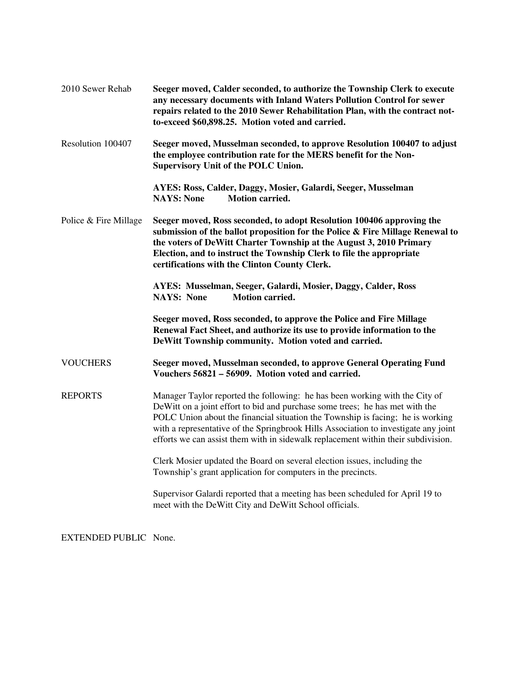| 2010 Sewer Rehab      | Seeger moved, Calder seconded, to authorize the Township Clerk to execute<br>any necessary documents with Inland Waters Pollution Control for sewer<br>repairs related to the 2010 Sewer Rehabilitation Plan, with the contract not-<br>to-exceed \$60,898.25. Motion voted and carried.                                                                                                                                  |
|-----------------------|---------------------------------------------------------------------------------------------------------------------------------------------------------------------------------------------------------------------------------------------------------------------------------------------------------------------------------------------------------------------------------------------------------------------------|
| Resolution 100407     | Seeger moved, Musselman seconded, to approve Resolution 100407 to adjust<br>the employee contribution rate for the MERS benefit for the Non-<br><b>Supervisory Unit of the POLC Union.</b>                                                                                                                                                                                                                                |
|                       | AYES: Ross, Calder, Daggy, Mosier, Galardi, Seeger, Musselman<br><b>NAYS: None</b><br><b>Motion carried.</b>                                                                                                                                                                                                                                                                                                              |
| Police & Fire Millage | Seeger moved, Ross seconded, to adopt Resolution 100406 approving the<br>submission of the ballot proposition for the Police & Fire Millage Renewal to<br>the voters of DeWitt Charter Township at the August 3, 2010 Primary<br>Election, and to instruct the Township Clerk to file the appropriate<br>certifications with the Clinton County Clerk.                                                                    |
|                       | AYES: Musselman, Seeger, Galardi, Mosier, Daggy, Calder, Ross<br><b>Motion carried.</b><br><b>NAYS: None</b>                                                                                                                                                                                                                                                                                                              |
|                       | Seeger moved, Ross seconded, to approve the Police and Fire Millage<br>Renewal Fact Sheet, and authorize its use to provide information to the<br>DeWitt Township community. Motion voted and carried.                                                                                                                                                                                                                    |
| <b>VOUCHERS</b>       | Seeger moved, Musselman seconded, to approve General Operating Fund<br>Vouchers 56821 – 56909. Motion voted and carried.                                                                                                                                                                                                                                                                                                  |
| <b>REPORTS</b>        | Manager Taylor reported the following: he has been working with the City of<br>DeWitt on a joint effort to bid and purchase some trees; he has met with the<br>POLC Union about the financial situation the Township is facing; he is working<br>with a representative of the Springbrook Hills Association to investigate any joint<br>efforts we can assist them with in sidewalk replacement within their subdivision. |
|                       | Clerk Mosier updated the Board on several election issues, including the<br>Township's grant application for computers in the precincts.                                                                                                                                                                                                                                                                                  |
|                       | Supervisor Galardi reported that a meeting has been scheduled for April 19 to<br>meet with the DeWitt City and DeWitt School officials.                                                                                                                                                                                                                                                                                   |

EXTENDED PUBLIC None.